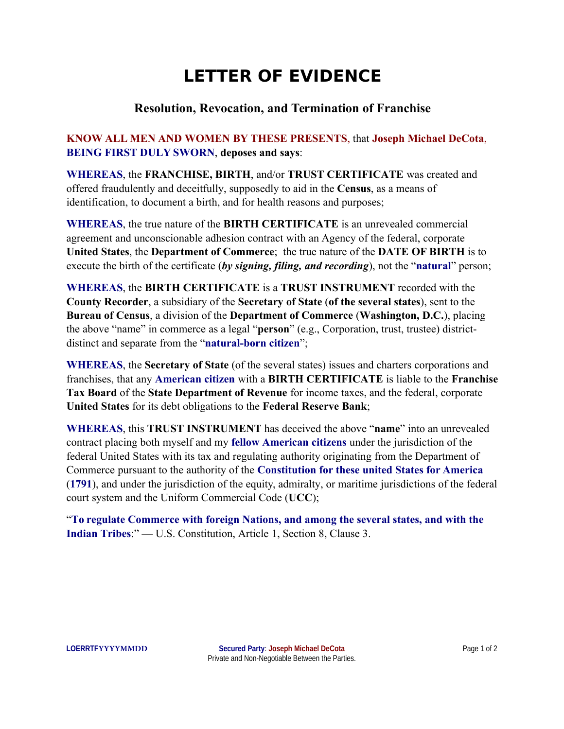## **LETTER OF EVIDENCE**

## **Resolution, Revocation, and Termination of Franchise**

## **KNOW ALL MEN AND WOMEN BY THESE PRESENTS**, that **Joseph Michael DeCota**, **BEING FIRST DULY SWORN**, **deposes and says**:

**WHEREAS**, the **FRANCHISE, BIRTH**, and/or **TRUST CERTIFICATE** was created and offered fraudulently and deceitfully, supposedly to aid in the **Census**, as a means of identification, to document a birth, and for health reasons and purposes;

**WHEREAS**, the true nature of the **BIRTH CERTIFICATE** is an unrevealed commercial agreement and unconscionable adhesion contract with an Agency of the federal, corporate **United States**, the **Department of Commerce**; the true nature of the **DATE OF BIRTH** is to execute the birth of the certificate (*by signing, filing, and recording*), not the "**natural**" person;

**WHEREAS**, the **BIRTH CERTIFICATE** is a **TRUST INSTRUMENT** recorded with the **County Recorder**, a subsidiary of the **Secretary of State** (**of the several states**), sent to the **Bureau of Census**, a division of the **Department of Commerce** (**Washington, D.C.**), placing the above "name" in commerce as a legal "**person**" (e.g., Corporation, trust, trustee) districtdistinct and separate from the "**natural-born citizen**";

**WHEREAS**, the **Secretary of State** (of the several states) issues and charters corporations and franchises, that any **American citizen** with a **BIRTH CERTIFICATE** is liable to the **Franchise Tax Board** of the **State Department of Revenue** for income taxes, and the federal, corporate **United States** for its debt obligations to the **Federal Reserve Bank**;

**WHEREAS**, this **TRUST INSTRUMENT** has deceived the above "**name**" into an unrevealed contract placing both myself and my **fellow American citizens** under the jurisdiction of the federal United States with its tax and regulating authority originating from the Department of Commerce pursuant to the authority of the **Constitution for these united States for America** (**1791**), and under the jurisdiction of the equity, admiralty, or maritime jurisdictions of the federal court system and the Uniform Commercial Code (**UCC**);

"**To regulate Commerce with foreign Nations, and among the several states, and with the Indian Tribes**:" — U.S. Constitution, Article 1, Section 8, Clause 3.